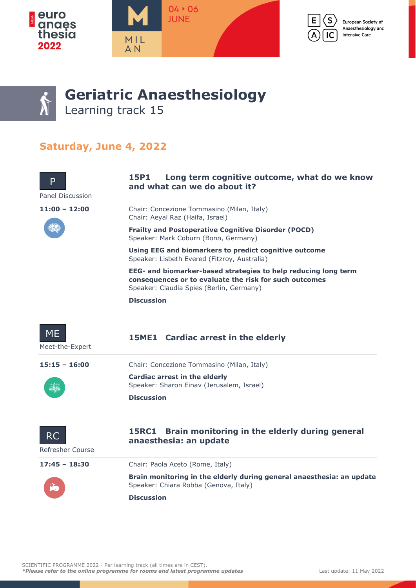







# **Geriatric Anaesthesiology**

Learning track 15

### **Saturday, June 4, 2022**



**Discussion**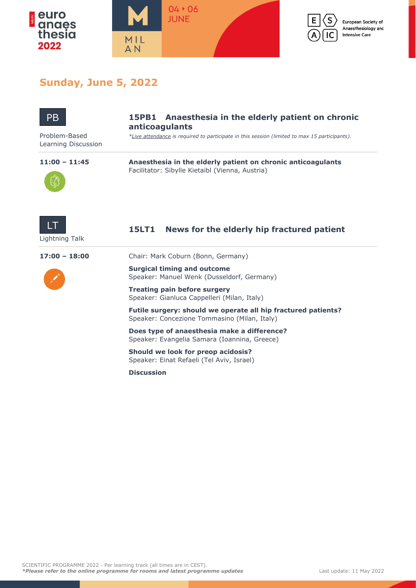



European Society of Anaesthesiology and **Intensive Care** 

### **Sunday, June 5, 2022**



#### **15PB1 Anaesthesia in the elderly patient on chronic anticoagulants**

Problem-Based *\*Live attendance is required to participate in this session (limited to max 15 participants).*

Learning Discussion



**11:00 – 11:45 Anaesthesia in the elderly patient on chronic anticoagulants** Facilitator: Sibylle Kietaibl (Vienna, Austria)



### **15LT1 News for the elderly hip fractured patient**

**17:00 – 18:00** Chair: Mark Coburn (Bonn, Germany)



**Surgical timing and outcome** Speaker: Manuel Wenk (Dusseldorf, Germany)

**Treating pain before surgery** Speaker: Gianluca Cappelleri (Milan, Italy)

**Futile surgery: should we operate all hip fractured patients?** Speaker: Concezione Tommasino (Milan, Italy)

**Does type of anaesthesia make a difference?** Speaker: Evangelia Samara (Ioannina, Greece)

**Should we look for preop acidosis?** Speaker: Einat Refaeli (Tel Aviv, Israel)

**Discussion**